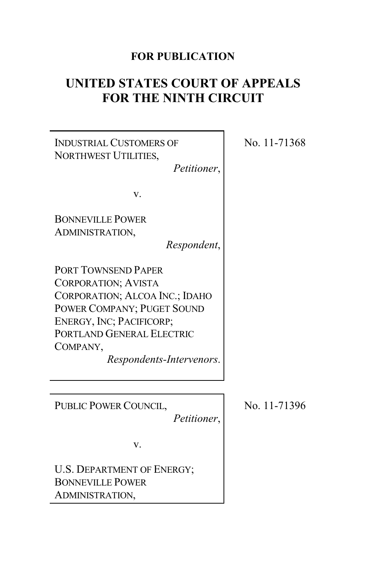## **FOR PUBLICATION**

# **UNITED STATES COURT OF APPEALS FOR THE NINTH CIRCUIT**



No. 11-71368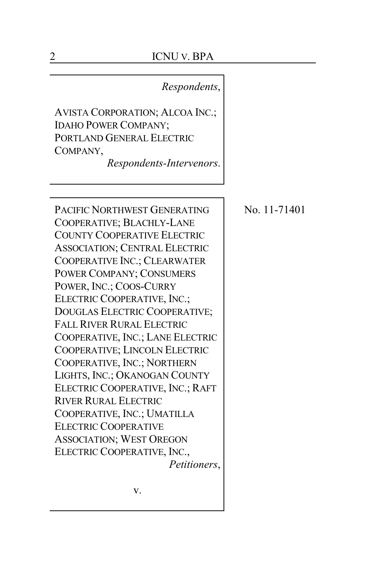## *Respondents*,

AVISTA CORPORATION; ALCOA INC.; IDAHO POWER COMPANY; PORTLAND GENERAL ELECTRIC COMPANY,

*Respondents-Intervenors*.

PACIFIC NORTHWEST GENERATING COOPERATIVE; BLACHLY-LANE COUNTY COOPERATIVE ELECTRIC ASSOCIATION; CENTRAL ELECTRIC COOPERATIVE INC.; CLEARWATER POWER COMPANY; CONSUMERS POWER, INC.; COOS-CURRY ELECTRIC COOPERATIVE, INC.; DOUGLAS ELECTRIC COOPERATIVE; FALL RIVER RURAL ELECTRIC COOPERATIVE, INC.; LANE ELECTRIC COOPERATIVE; LINCOLN ELECTRIC COOPERATIVE, INC.; NORTHERN LIGHTS, INC.; OKANOGAN COUNTY ELECTRIC COOPERATIVE, INC.; RAFT RIVER RURAL ELECTRIC COOPERATIVE, INC.; UMATILLA ELECTRIC COOPERATIVE ASSOCIATION; WEST OREGON ELECTRIC COOPERATIVE, INC., *Petitioners*, No. 11-71401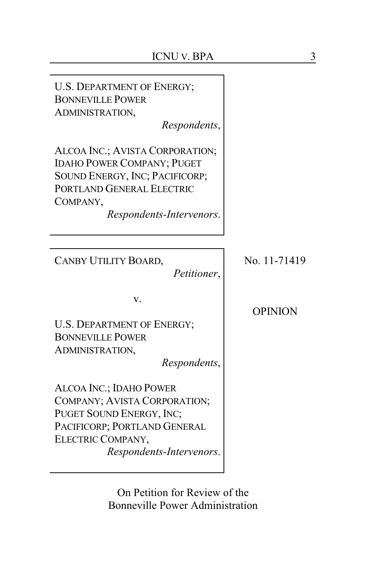| <b>U.S. DEPARTMENT OF ENERGY;</b><br><b>BONNEVILLE POWER</b><br>ADMINISTRATION,<br>Respondents,                                                                             |                |
|-----------------------------------------------------------------------------------------------------------------------------------------------------------------------------|----------------|
| ALCOA INC.; AVISTA CORPORATION;<br><b>IDAHO POWER COMPANY; PUGET</b><br>SOUND ENERGY, INC; PACIFICORP;<br>PORTLAND GENERAL ELECTRIC<br>COMPANY,<br>Respondents-Intervenors. |                |
| CANBY UTILITY BOARD,<br>Petitioner,                                                                                                                                         | No. 11-71419   |
| v.<br><b>U.S. DEPARTMENT OF ENERGY;</b><br><b>BONNEVILLE POWER</b><br>ADMINISTRATION,<br>Respondents,                                                                       | <b>OPINION</b> |
| ALCOA INC.; IDAHO POWER<br>COMPANY; AVISTA CORPORATION;<br>PUGET SOUND ENERGY, INC;<br>PACIFICORP; PORTLAND GENERAL<br>ELECTRIC COMPANY,<br>Respondents-Intervenors.        |                |
| On Petition for Review of the                                                                                                                                               |                |

On Petition for Review Bonneville Power Administration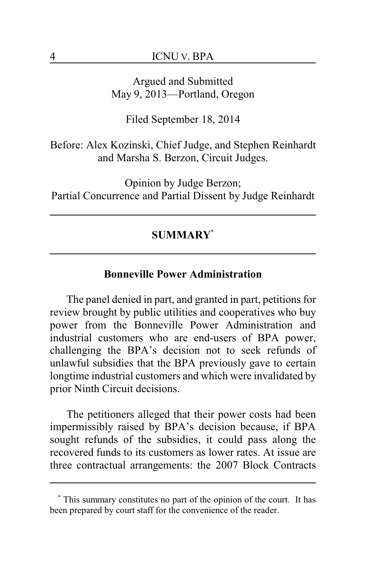Argued and Submitted May 9, 2013—Portland, Oregon

Filed September 18, 2014

Before: Alex Kozinski, Chief Judge, and Stephen Reinhardt and Marsha S. Berzon, Circuit Judges.

Opinion by Judge Berzon; Partial Concurrence and Partial Dissent by Judge Reinhardt

## **SUMMARY\***

#### **Bonneville Power Administration**

The panel denied in part, and granted in part, petitions for review brought by public utilities and cooperatives who buy power from the Bonneville Power Administration and industrial customers who are end-users of BPA power, challenging the BPA's decision not to seek refunds of unlawful subsidies that the BPA previously gave to certain longtime industrial customers and which were invalidated by prior Ninth Circuit decisions.

The petitioners alleged that their power costs had been impermissibly raised by BPA's decision because, if BPA sought refunds of the subsidies, it could pass along the recovered funds to its customers as lower rates. At issue are three contractual arrangements: the 2007 Block Contracts

**<sup>\*</sup>** This summary constitutes no part of the opinion of the court. It has been prepared by court staff for the convenience of the reader.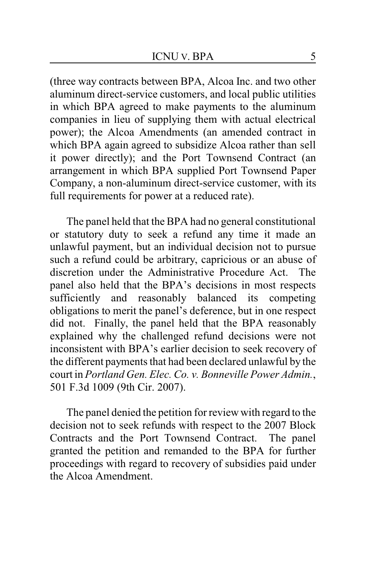(three way contracts between BPA, Alcoa Inc. and two other aluminum direct-service customers, and local public utilities in which BPA agreed to make payments to the aluminum companies in lieu of supplying them with actual electrical power); the Alcoa Amendments (an amended contract in which BPA again agreed to subsidize Alcoa rather than sell it power directly); and the Port Townsend Contract (an arrangement in which BPA supplied Port Townsend Paper Company, a non-aluminum direct-service customer, with its full requirements for power at a reduced rate).

The panel held that the BPA had no general constitutional or statutory duty to seek a refund any time it made an unlawful payment, but an individual decision not to pursue such a refund could be arbitrary, capricious or an abuse of discretion under the Administrative Procedure Act. The panel also held that the BPA's decisions in most respects sufficiently and reasonably balanced its competing obligations to merit the panel's deference, but in one respect did not. Finally, the panel held that the BPA reasonably explained why the challenged refund decisions were not inconsistent with BPA's earlier decision to seek recovery of the different payments that had been declared unlawful by the court in *Portland Gen. Elec. Co. v. Bonneville Power Admin.*, 501 F.3d 1009 (9th Cir. 2007).

The panel denied the petition for review with regard to the decision not to seek refunds with respect to the 2007 Block Contracts and the Port Townsend Contract. The panel granted the petition and remanded to the BPA for further proceedings with regard to recovery of subsidies paid under the Alcoa Amendment.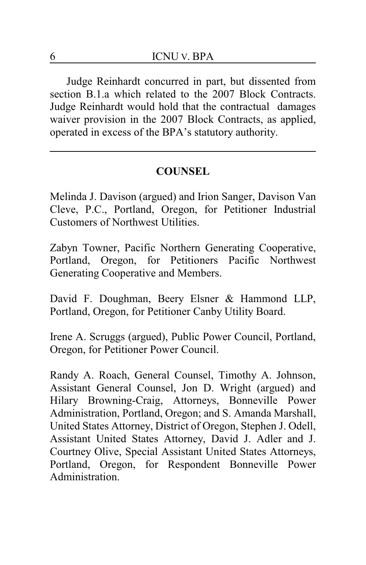Judge Reinhardt concurred in part, but dissented from section B.1.a which related to the 2007 Block Contracts. Judge Reinhardt would hold that the contractual damages waiver provision in the 2007 Block Contracts, as applied, operated in excess of the BPA's statutory authority.

## **COUNSEL**

Melinda J. Davison (argued) and Irion Sanger, Davison Van Cleve, P.C., Portland, Oregon, for Petitioner Industrial Customers of Northwest Utilities.

Zabyn Towner, Pacific Northern Generating Cooperative, Portland, Oregon, for Petitioners Pacific Northwest Generating Cooperative and Members.

David F. Doughman, Beery Elsner & Hammond LLP, Portland, Oregon, for Petitioner Canby Utility Board.

Irene A. Scruggs (argued), Public Power Council, Portland, Oregon, for Petitioner Power Council.

Randy A. Roach, General Counsel, Timothy A. Johnson, Assistant General Counsel, Jon D. Wright (argued) and Hilary Browning-Craig, Attorneys, Bonneville Power Administration, Portland, Oregon; and S. Amanda Marshall, United States Attorney, District of Oregon, Stephen J. Odell, Assistant United States Attorney, David J. Adler and J. Courtney Olive, Special Assistant United States Attorneys, Portland, Oregon, for Respondent Bonneville Power Administration.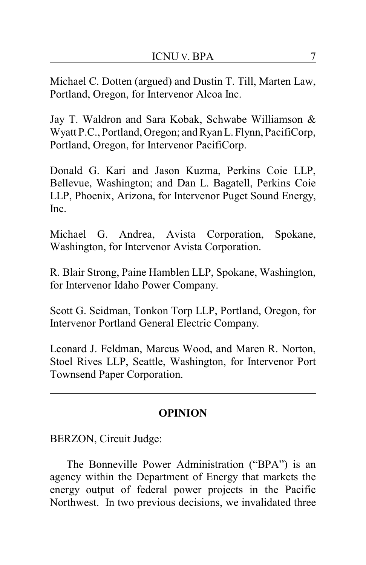Michael C. Dotten (argued) and Dustin T. Till, Marten Law, Portland, Oregon, for Intervenor Alcoa Inc.

Jay T. Waldron and Sara Kobak, Schwabe Williamson & Wyatt P.C., Portland, Oregon; and Ryan L. Flynn, PacifiCorp, Portland, Oregon, for Intervenor PacifiCorp.

Donald G. Kari and Jason Kuzma, Perkins Coie LLP, Bellevue, Washington; and Dan L. Bagatell, Perkins Coie LLP, Phoenix, Arizona, for Intervenor Puget Sound Energy, Inc.

Michael G. Andrea, Avista Corporation, Spokane, Washington, for Intervenor Avista Corporation.

R. Blair Strong, Paine Hamblen LLP, Spokane, Washington, for Intervenor Idaho Power Company.

Scott G. Seidman, Tonkon Torp LLP, Portland, Oregon, for Intervenor Portland General Electric Company.

Leonard J. Feldman, Marcus Wood, and Maren R. Norton, Stoel Rives LLP, Seattle, Washington, for Intervenor Port Townsend Paper Corporation.

## **OPINION**

BERZON, Circuit Judge:

The Bonneville Power Administration ("BPA") is an agency within the Department of Energy that markets the energy output of federal power projects in the Pacific Northwest. In two previous decisions, we invalidated three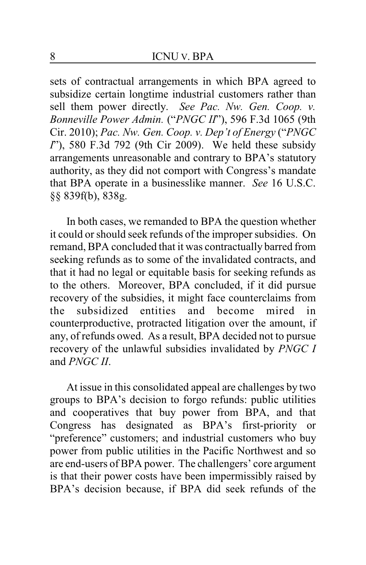sets of contractual arrangements in which BPA agreed to subsidize certain longtime industrial customers rather than sell them power directly. *See Pac. Nw. Gen. Coop. v. Bonneville Power Admin.* ("*PNGC II*"), 596 F.3d 1065 (9th Cir. 2010); *Pac. Nw. Gen. Coop. v. Dep't of Energy* ("*PNGC I*"), 580 F.3d 792 (9th Cir 2009). We held these subsidy arrangements unreasonable and contrary to BPA's statutory authority, as they did not comport with Congress's mandate that BPA operate in a businesslike manner. *See* 16 U.S.C. §§ 839f(b), 838g.

In both cases, we remanded to BPA the question whether it could or should seek refunds of the improper subsidies. On remand, BPA concluded that it was contractually barred from seeking refunds as to some of the invalidated contracts, and that it had no legal or equitable basis for seeking refunds as to the others. Moreover, BPA concluded, if it did pursue recovery of the subsidies, it might face counterclaims from the subsidized entities and become mired in counterproductive, protracted litigation over the amount, if any, of refunds owed. As a result, BPA decided not to pursue recovery of the unlawful subsidies invalidated by *PNGC I* and *PNGC II*.

At issue in this consolidated appeal are challenges by two groups to BPA's decision to forgo refunds: public utilities and cooperatives that buy power from BPA, and that Congress has designated as BPA's first-priority or "preference" customers; and industrial customers who buy power from public utilities in the Pacific Northwest and so are end-users of BPA power. The challengers' core argument is that their power costs have been impermissibly raised by BPA's decision because, if BPA did seek refunds of the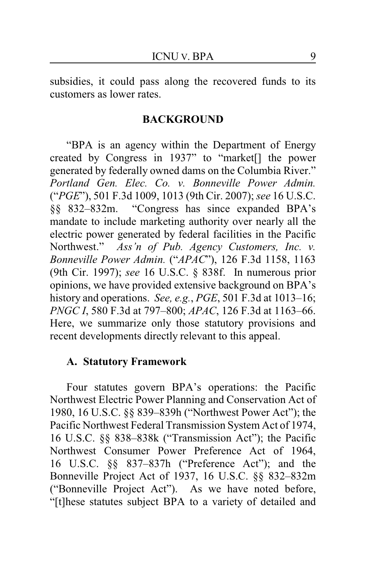subsidies, it could pass along the recovered funds to its customers as lower rates.

#### **BACKGROUND**

"BPA is an agency within the Department of Energy created by Congress in 1937" to "market[] the power generated by federally owned dams on the Columbia River." *Portland Gen. Elec. Co. v. Bonneville Power Admin.* ("*PGE*"), 501 F.3d 1009, 1013 (9th Cir. 2007); *see* 16 U.S.C. §§ 832–832m. "Congress has since expanded BPA's mandate to include marketing authority over nearly all the electric power generated by federal facilities in the Pacific Northwest." *Ass'n of Pub. Agency Customers, Inc. v. Bonneville Power Admin.* ("*APAC*"), 126 F.3d 1158, 1163 (9th Cir. 1997); *see* 16 U.S.C. § 838f. In numerous prior opinions, we have provided extensive background on BPA's history and operations. *See, e.g.*, *PGE*, 501 F.3d at 1013–16; *PNGC I*, 580 F.3d at 797–800; *APAC*, 126 F.3d at 1163–66. Here, we summarize only those statutory provisions and recent developments directly relevant to this appeal.

#### **A. Statutory Framework**

Four statutes govern BPA's operations: the Pacific Northwest Electric Power Planning and Conservation Act of 1980, 16 U.S.C. §§ 839–839h ("Northwest Power Act"); the Pacific Northwest Federal Transmission System Act of 1974, 16 U.S.C. §§ 838–838k ("Transmission Act"); the Pacific Northwest Consumer Power Preference Act of 1964, 16 U.S.C. §§ 837–837h ("Preference Act"); and the Bonneville Project Act of 1937, 16 U.S.C. §§ 832–832m ("Bonneville Project Act"). As we have noted before, "[t]hese statutes subject BPA to a variety of detailed and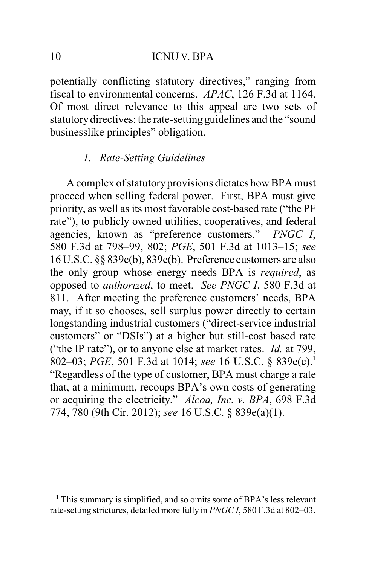potentially conflicting statutory directives," ranging from fiscal to environmental concerns. *APAC*, 126 F.3d at 1164. Of most direct relevance to this appeal are two sets of statutorydirectives: the rate-setting guidelines and the "sound businesslike principles" obligation.

### *1. Rate-Setting Guidelines*

A complex of statutoryprovisions dictates how BPA must proceed when selling federal power. First, BPA must give priority, as well as its most favorable cost-based rate ("the PF rate"), to publicly owned utilities, cooperatives, and federal agencies, known as "preference customers." *PNGC I*, 580 F.3d at 798–99, 802; *PGE*, 501 F.3d at 1013–15; *see* 16 U.S.C. §§ 839c(b), 839e(b). Preference customers are also the only group whose energy needs BPA is *required*, as opposed to *authorized*, to meet. *See PNGC I*, 580 F.3d at 811. After meeting the preference customers' needs, BPA may, if it so chooses, sell surplus power directly to certain longstanding industrial customers ("direct-service industrial customers" or "DSIs") at a higher but still-cost based rate ("the IP rate"), or to anyone else at market rates. *Id.* at 799, 802–03; *PGE*, 501 F.3d at 1014; *see* 16 U.S.C. § 839e(c).**<sup>1</sup>** "Regardless of the type of customer, BPA must charge a rate that, at a minimum, recoups BPA's own costs of generating or acquiring the electricity." *Alcoa, Inc. v. BPA*, 698 F.3d 774, 780 (9th Cir. 2012); *see* 16 U.S.C. § 839e(a)(1).

**<sup>1</sup>** This summary is simplified, and so omits some of BPA's less relevant rate-setting strictures, detailed more fully in *PNGC I*, 580 F.3d at 802–03.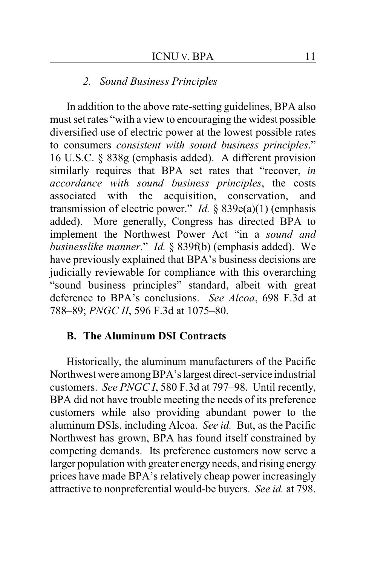#### *2. Sound Business Principles*

In addition to the above rate-setting guidelines, BPA also must set rates "with a view to encouraging the widest possible diversified use of electric power at the lowest possible rates to consumers *consistent with sound business principles*." 16 U.S.C. § 838g (emphasis added). A different provision similarly requires that BPA set rates that "recover, *in accordance with sound business principles*, the costs associated with the acquisition, conservation, and transmission of electric power." *Id.* § 839e(a)(1) (emphasis added). More generally, Congress has directed BPA to implement the Northwest Power Act "in a *sound and businesslike manner*." *Id.* § 839f(b) (emphasis added). We have previously explained that BPA's business decisions are judicially reviewable for compliance with this overarching "sound business principles" standard, albeit with great deference to BPA's conclusions. *See Alcoa*, 698 F.3d at 788–89; *PNGC II*, 596 F.3d at 1075–80.

#### **B. The Aluminum DSI Contracts**

Historically, the aluminum manufacturers of the Pacific Northwest were amongBPA'slargest direct-service industrial customers. *See PNGC I*, 580 F.3d at 797–98. Until recently, BPA did not have trouble meeting the needs of its preference customers while also providing abundant power to the aluminum DSIs, including Alcoa. *See id.* But, as the Pacific Northwest has grown, BPA has found itself constrained by competing demands. Its preference customers now serve a larger population with greater energy needs, and rising energy prices have made BPA's relatively cheap power increasingly attractive to nonpreferential would-be buyers. *See id.* at 798.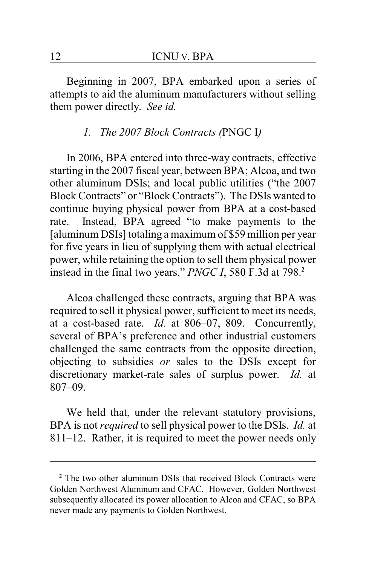Beginning in 2007, BPA embarked upon a series of attempts to aid the aluminum manufacturers without selling them power directly. *See id.*

## *1. The 2007 Block Contracts (*PNGC I*)*

In 2006, BPA entered into three-way contracts, effective starting in the 2007 fiscal year, between BPA; Alcoa, and two other aluminum DSIs; and local public utilities ("the 2007 Block Contracts" or "Block Contracts"). The DSIs wanted to continue buying physical power from BPA at a cost-based rate. Instead, BPA agreed "to make payments to the [aluminum DSIs] totaling a maximum of \$59 million per year for five years in lieu of supplying them with actual electrical power, while retaining the option to sell them physical power instead in the final two years." *PNGC I*, 580 F.3d at 798.**<sup>2</sup>**

Alcoa challenged these contracts, arguing that BPA was required to sell it physical power, sufficient to meet its needs, at a cost-based rate. *Id.* at 806–07, 809. Concurrently, several of BPA's preference and other industrial customers challenged the same contracts from the opposite direction, objecting to subsidies *or* sales to the DSIs except for discretionary market-rate sales of surplus power. *Id.* at 807–09.

We held that, under the relevant statutory provisions, BPA is not *required* to sell physical power to the DSIs. *Id.* at 811–12. Rather, it is required to meet the power needs only

**<sup>2</sup>** The two other aluminum DSIs that received Block Contracts were Golden Northwest Aluminum and CFAC. However, Golden Northwest subsequently allocated its power allocation to Alcoa and CFAC, so BPA never made any payments to Golden Northwest.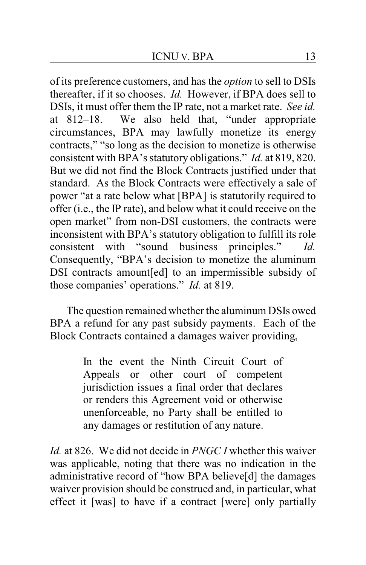of its preference customers, and has the *option* to sell to DSIs thereafter, if it so chooses. *Id.* However, if BPA does sell to DSIs, it must offer them the IP rate, not a market rate. *See id.* at 812–18. We also held that, "under appropriate circumstances, BPA may lawfully monetize its energy contracts," "so long as the decision to monetize is otherwise consistent with BPA's statutory obligations." *Id.* at 819, 820. But we did not find the Block Contracts justified under that standard. As the Block Contracts were effectively a sale of power "at a rate below what [BPA] is statutorily required to offer (i.e., the IP rate), and below what it could receive on the open market" from non-DSI customers, the contracts were inconsistent with BPA's statutory obligation to fulfill its role consistent with "sound business principles." *Id.* Consequently, "BPA's decision to monetize the aluminum DSI contracts amount[ed] to an impermissible subsidy of those companies' operations." *Id.* at 819.

The question remained whether the aluminum DSIs owed BPA a refund for any past subsidy payments. Each of the Block Contracts contained a damages waiver providing,

> In the event the Ninth Circuit Court of Appeals or other court of competent jurisdiction issues a final order that declares or renders this Agreement void or otherwise unenforceable, no Party shall be entitled to any damages or restitution of any nature.

*Id.* at 826. We did not decide in *PNGC I* whether this waiver was applicable, noting that there was no indication in the administrative record of "how BPA believe[d] the damages waiver provision should be construed and, in particular, what effect it [was] to have if a contract [were] only partially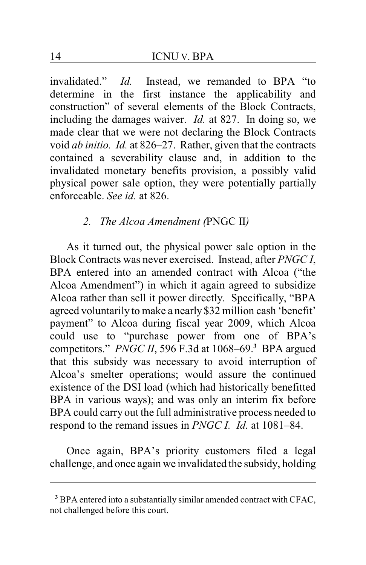invalidated." *Id.* Instead, we remanded to BPA "to determine in the first instance the applicability and construction" of several elements of the Block Contracts, including the damages waiver. *Id.* at 827. In doing so, we made clear that we were not declaring the Block Contracts void *ab initio. Id.* at 826–27. Rather, given that the contracts contained a severability clause and, in addition to the invalidated monetary benefits provision, a possibly valid physical power sale option, they were potentially partially enforceable. *See id.* at 826.

## *2. The Alcoa Amendment (*PNGC II*)*

As it turned out, the physical power sale option in the Block Contracts was never exercised. Instead, after *PNGC I*, BPA entered into an amended contract with Alcoa ("the Alcoa Amendment") in which it again agreed to subsidize Alcoa rather than sell it power directly. Specifically, "BPA agreed voluntarily to make a nearly \$32 million cash 'benefit' payment" to Alcoa during fiscal year 2009, which Alcoa could use to "purchase power from one of BPA's competitors." *PNGC II*, 596 F.3d at 1068–69.**<sup>3</sup>** BPA argued that this subsidy was necessary to avoid interruption of Alcoa's smelter operations; would assure the continued existence of the DSI load (which had historically benefitted BPA in various ways); and was only an interim fix before BPA could carry out the full administrative process needed to respond to the remand issues in *PNGC I. Id.* at 1081–84.

Once again, BPA's priority customers filed a legal challenge, and once again we invalidated the subsidy, holding

**<sup>3</sup>** BPA entered into a substantially similar amended contract with CFAC, not challenged before this court.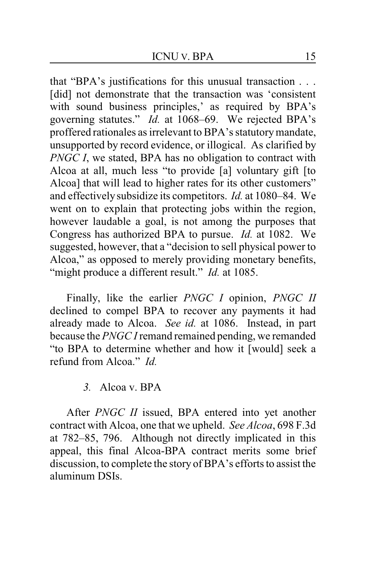that "BPA's justifications for this unusual transaction . . . [did] not demonstrate that the transaction was 'consistent with sound business principles,' as required by BPA's governing statutes." *Id.* at 1068–69. We rejected BPA's proffered rationales as irrelevant to BPA's statutorymandate, unsupported by record evidence, or illogical. As clarified by *PNGC I*, we stated, BPA has no obligation to contract with Alcoa at all, much less "to provide [a] voluntary gift [to Alcoa] that will lead to higher rates for its other customers" and effectivelysubsidize its competitors. *Id.* at 1080–84. We went on to explain that protecting jobs within the region, however laudable a goal, is not among the purposes that Congress has authorized BPA to pursue. *Id.* at 1082. We suggested, however, that a "decision to sell physical power to Alcoa," as opposed to merely providing monetary benefits, "might produce a different result." *Id.* at 1085.

Finally, like the earlier *PNGC I* opinion, *PNGC II* declined to compel BPA to recover any payments it had already made to Alcoa. *See id.* at 1086. Instead, in part because the *PNGC I* remand remained pending, we remanded "to BPA to determine whether and how it [would] seek a refund from Alcoa<sup>"</sup> *Id* 

*3.* Alcoa v. BPA

After *PNGC II* issued, BPA entered into yet another contract with Alcoa, one that we upheld. *See Alcoa*, 698 F.3d at 782–85, 796. Although not directly implicated in this appeal, this final Alcoa-BPA contract merits some brief discussion, to complete the story of BPA's efforts to assist the aluminum DSIs.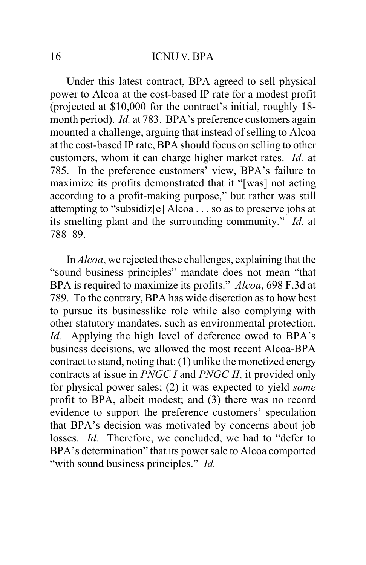Under this latest contract, BPA agreed to sell physical power to Alcoa at the cost-based IP rate for a modest profit (projected at \$10,000 for the contract's initial, roughly 18 month period). *Id.* at 783. BPA's preference customers again mounted a challenge, arguing that instead of selling to Alcoa at the cost-based IP rate, BPA should focus on selling to other customers, whom it can charge higher market rates. *Id.* at 785. In the preference customers' view, BPA's failure to maximize its profits demonstrated that it "[was] not acting according to a profit-making purpose," but rather was still attempting to "subsidiz[e] Alcoa . . . so as to preserve jobs at its smelting plant and the surrounding community." *Id.* at 788–89.

In *Alcoa*, we rejected these challenges, explaining that the "sound business principles" mandate does not mean "that BPA is required to maximize its profits." *Alcoa*, 698 F.3d at 789. To the contrary, BPA has wide discretion as to how best to pursue its businesslike role while also complying with other statutory mandates, such as environmental protection. *Id.* Applying the high level of deference owed to BPA's business decisions, we allowed the most recent Alcoa-BPA contract to stand, noting that: (1) unlike the monetized energy contracts at issue in *PNGC I* and *PNGC II*, it provided only for physical power sales; (2) it was expected to yield *some* profit to BPA, albeit modest; and (3) there was no record evidence to support the preference customers' speculation that BPA's decision was motivated by concerns about job losses. *Id.* Therefore, we concluded, we had to "defer to BPA's determination" that its power sale to Alcoa comported "with sound business principles." *Id.*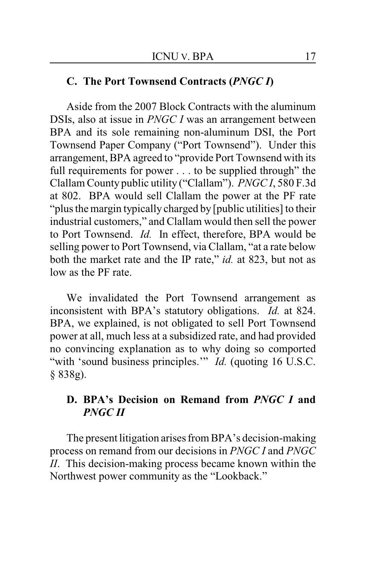## **C. The Port Townsend Contracts (***PNGC I***)**

Aside from the 2007 Block Contracts with the aluminum DSIs, also at issue in *PNGC I* was an arrangement between BPA and its sole remaining non-aluminum DSI, the Port Townsend Paper Company ("Port Townsend"). Under this arrangement, BPA agreed to "provide Port Townsend with its full requirements for power . . . to be supplied through" the Clallam County public utility ("Clallam"). *PNGC I*, 580 F.3d at 802. BPA would sell Clallam the power at the PF rate "plus the margin typically charged by [public utilities] to their industrial customers," and Clallam would then sell the power to Port Townsend. *Id.* In effect, therefore, BPA would be selling power to Port Townsend, via Clallam, "at a rate below both the market rate and the IP rate," *id.* at 823, but not as low as the PF rate.

We invalidated the Port Townsend arrangement as inconsistent with BPA's statutory obligations. *Id.* at 824. BPA, we explained, is not obligated to sell Port Townsend power at all, much less at a subsidized rate, and had provided no convincing explanation as to why doing so comported "with 'sound business principles." *Id.* (quoting 16 U.S.C. § 838g).

## **D. BPA's Decision on Remand from** *PNGC I* **and** *PNGC II*

The present litigation arises from BPA's decision-making process on remand from our decisions in *PNGC I* and *PNGC II*. This decision-making process became known within the Northwest power community as the "Lookback."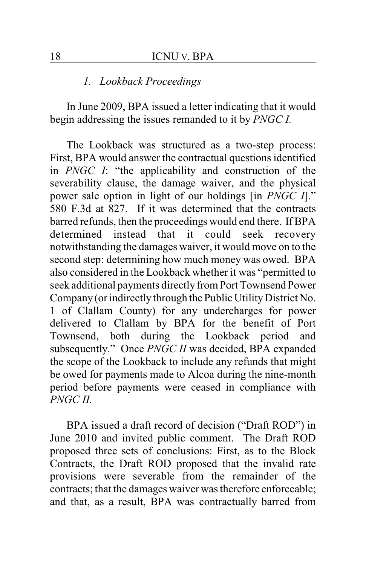#### *1. Lookback Proceedings*

In June 2009, BPA issued a letter indicating that it would begin addressing the issues remanded to it by *PNGC I.*

The Lookback was structured as a two-step process: First, BPA would answer the contractual questions identified in *PNGC I*: "the applicability and construction of the severability clause, the damage waiver, and the physical power sale option in light of our holdings [in *PNGC I*]." 580 F.3d at 827. If it was determined that the contracts barred refunds, then the proceedings would end there. If BPA determined instead that it could seek recovery notwithstanding the damages waiver, it would move on to the second step: determining how much money was owed. BPA also considered in the Lookback whether it was "permitted to seek additional payments directly from Port Townsend Power Company (or indirectly through the Public Utility District No. 1 of Clallam County) for any undercharges for power delivered to Clallam by BPA for the benefit of Port Townsend, both during the Lookback period and subsequently." Once *PNGC II* was decided, BPA expanded the scope of the Lookback to include any refunds that might be owed for payments made to Alcoa during the nine-month period before payments were ceased in compliance with *PNGC II.*

BPA issued a draft record of decision ("Draft ROD") in June 2010 and invited public comment. The Draft ROD proposed three sets of conclusions: First, as to the Block Contracts, the Draft ROD proposed that the invalid rate provisions were severable from the remainder of the contracts; that the damages waiver was therefore enforceable; and that, as a result, BPA was contractually barred from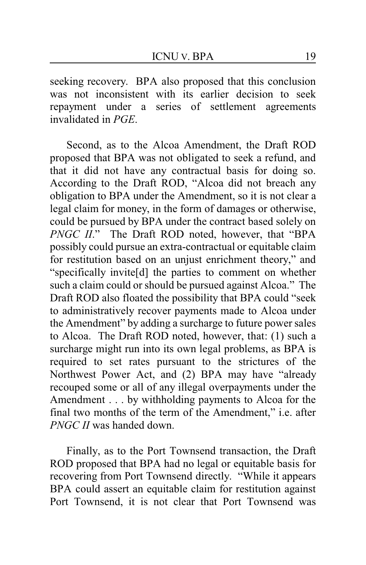seeking recovery. BPA also proposed that this conclusion was not inconsistent with its earlier decision to seek repayment under a series of settlement agreements invalidated in *PGE*.

Second, as to the Alcoa Amendment, the Draft ROD proposed that BPA was not obligated to seek a refund, and that it did not have any contractual basis for doing so. According to the Draft ROD, "Alcoa did not breach any obligation to BPA under the Amendment, so it is not clear a legal claim for money, in the form of damages or otherwise, could be pursued by BPA under the contract based solely on *PNGC II.*" The Draft ROD noted, however, that "BPA possibly could pursue an extra-contractual or equitable claim for restitution based on an unjust enrichment theory," and "specifically invite[d] the parties to comment on whether such a claim could or should be pursued against Alcoa." The Draft ROD also floated the possibility that BPA could "seek to administratively recover payments made to Alcoa under the Amendment" by adding a surcharge to future power sales to Alcoa. The Draft ROD noted, however, that: (1) such a surcharge might run into its own legal problems, as BPA is required to set rates pursuant to the strictures of the Northwest Power Act, and (2) BPA may have "already recouped some or all of any illegal overpayments under the Amendment . . . by withholding payments to Alcoa for the final two months of the term of the Amendment," i.e. after *PNGC II* was handed down.

Finally, as to the Port Townsend transaction, the Draft ROD proposed that BPA had no legal or equitable basis for recovering from Port Townsend directly. "While it appears BPA could assert an equitable claim for restitution against Port Townsend, it is not clear that Port Townsend was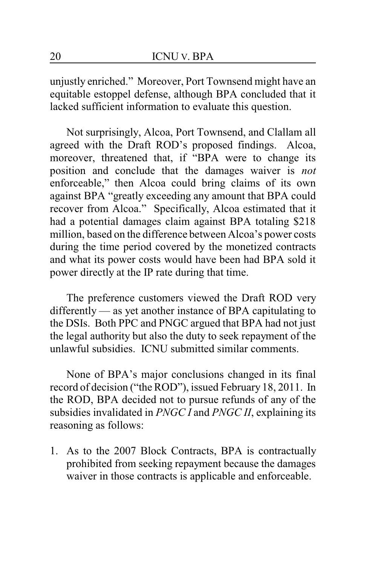unjustly enriched." Moreover, Port Townsend might have an equitable estoppel defense, although BPA concluded that it lacked sufficient information to evaluate this question.

Not surprisingly, Alcoa, Port Townsend, and Clallam all agreed with the Draft ROD's proposed findings. Alcoa, moreover, threatened that, if "BPA were to change its position and conclude that the damages waiver is *not* enforceable," then Alcoa could bring claims of its own against BPA "greatly exceeding any amount that BPA could recover from Alcoa." Specifically, Alcoa estimated that it had a potential damages claim against BPA totaling \$218 million, based on the difference between Alcoa's power costs during the time period covered by the monetized contracts and what its power costs would have been had BPA sold it power directly at the IP rate during that time.

The preference customers viewed the Draft ROD very differently — as yet another instance of BPA capitulating to the DSIs. Both PPC and PNGC argued that BPA had not just the legal authority but also the duty to seek repayment of the unlawful subsidies. ICNU submitted similar comments.

None of BPA's major conclusions changed in its final record of decision ("the ROD"), issued February 18, 2011. In the ROD, BPA decided not to pursue refunds of any of the subsidies invalidated in *PNGC I* and *PNGC II*, explaining its reasoning as follows:

1. As to the 2007 Block Contracts, BPA is contractually prohibited from seeking repayment because the damages waiver in those contracts is applicable and enforceable.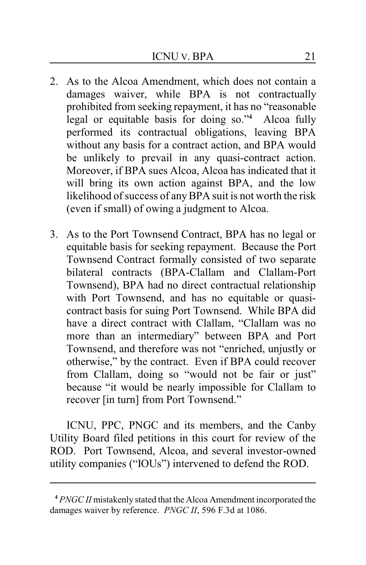- 2. As to the Alcoa Amendment, which does not contain a damages waiver, while BPA is not contractually prohibited from seeking repayment, it has no "reasonable legal or equitable basis for doing so."**<sup>4</sup>** Alcoa fully performed its contractual obligations, leaving BPA without any basis for a contract action, and BPA would be unlikely to prevail in any quasi-contract action. Moreover, if BPA sues Alcoa, Alcoa has indicated that it will bring its own action against BPA, and the low likelihood of success of anyBPA suit is not worth the risk (even if small) of owing a judgment to Alcoa.
- 3. As to the Port Townsend Contract, BPA has no legal or equitable basis for seeking repayment. Because the Port Townsend Contract formally consisted of two separate bilateral contracts (BPA-Clallam and Clallam-Port Townsend), BPA had no direct contractual relationship with Port Townsend, and has no equitable or quasicontract basis for suing Port Townsend. While BPA did have a direct contract with Clallam, "Clallam was no more than an intermediary" between BPA and Port Townsend, and therefore was not "enriched, unjustly or otherwise," by the contract. Even if BPA could recover from Clallam, doing so "would not be fair or just" because "it would be nearly impossible for Clallam to recover [in turn] from Port Townsend."

ICNU, PPC, PNGC and its members, and the Canby Utility Board filed petitions in this court for review of the ROD. Port Townsend, Alcoa, and several investor-owned utility companies ("IOUs") intervened to defend the ROD.

**<sup>4</sup>** *PNGC II* mistakenly stated that the Alcoa Amendment incorporated the damages waiver by reference. *PNGC II*, 596 F.3d at 1086.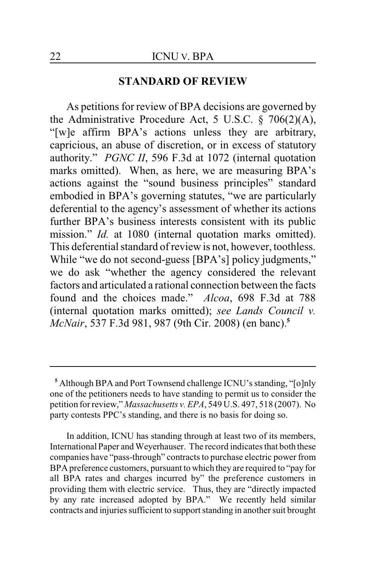#### **STANDARD OF REVIEW**

As petitions for review of BPA decisions are governed by the Administrative Procedure Act, 5 U.S.C. § 706(2)(A), "[w]e affirm BPA's actions unless they are arbitrary, capricious, an abuse of discretion, or in excess of statutory authority." *PGNC II*, 596 F.3d at 1072 (internal quotation marks omitted). When, as here, we are measuring BPA's actions against the "sound business principles" standard embodied in BPA's governing statutes, "we are particularly deferential to the agency's assessment of whether its actions further BPA's business interests consistent with its public mission." *Id.* at 1080 (internal quotation marks omitted). This deferential standard of review is not, however, toothless. While "we do not second-guess [BPA's] policy judgments," we do ask "whether the agency considered the relevant factors and articulated a rational connection between the facts found and the choices made." *Alcoa*, 698 F.3d at 788 (internal quotation marks omitted); *see Lands Council v. McNair*, 537 F.3d 981, 987 (9th Cir. 2008) (en banc).**<sup>5</sup>**

**<sup>5</sup>** Although BPA and Port Townsend challenge ICNU's standing, "[o]nly one of the petitioners needs to have standing to permit us to consider the petition for review," *Massachusetts v. EPA*, 549 U.S. 497, 518 (2007). No party contests PPC's standing, and there is no basis for doing so.

In addition, ICNU has standing through at least two of its members, International Paper and Weyerhauser. The record indicates that both these companies have "pass-through" contracts to purchase electric power from BPA preference customers, pursuant to which they are required to "pay for all BPA rates and charges incurred by" the preference customers in providing them with electric service. Thus, they are "directly impacted by any rate increased adopted by BPA." We recently held similar contracts and injuries sufficient to support standing in another suit brought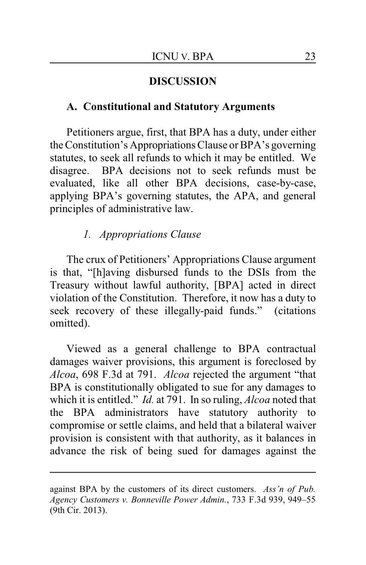#### **DISCUSSION**

#### **A. Constitutional and Statutory Arguments**

Petitioners argue, first, that BPA has a duty, under either the Constitution's Appropriations Clause or BPA's governing statutes, to seek all refunds to which it may be entitled. We disagree. BPA decisions not to seek refunds must be evaluated, like all other BPA decisions, case-by-case, applying BPA's governing statutes, the APA, and general principles of administrative law.

## *1. Appropriations Clause*

The crux of Petitioners' Appropriations Clause argument is that, "[h]aving disbursed funds to the DSIs from the Treasury without lawful authority, [BPA] acted in direct violation of the Constitution. Therefore, it now has a duty to seek recovery of these illegally-paid funds." (citations omitted).

Viewed as a general challenge to BPA contractual damages waiver provisions, this argument is foreclosed by *Alcoa*, 698 F.3d at 791. *Alcoa* rejected the argument "that BPA is constitutionally obligated to sue for any damages to which it is entitled." *Id.* at 791. In so ruling, *Alcoa* noted that the BPA administrators have statutory authority to compromise or settle claims, and held that a bilateral waiver provision is consistent with that authority, as it balances in advance the risk of being sued for damages against the

against BPA by the customers of its direct customers. *Ass'n of Pub. Agency Customers v. Bonneville Power Admin.*, 733 F.3d 939, 949–55 (9th Cir. 2013).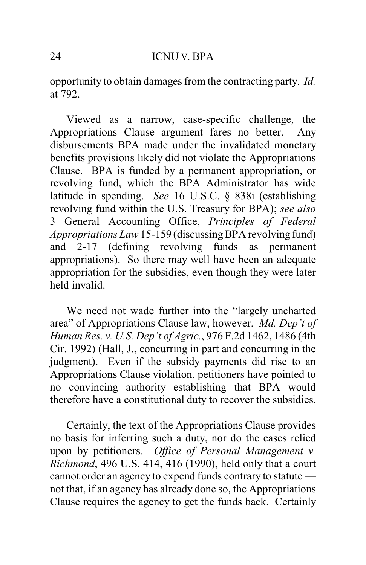opportunity to obtain damages from the contracting party. *Id.* at 792.

Viewed as a narrow, case-specific challenge, the Appropriations Clause argument fares no better. Any disbursements BPA made under the invalidated monetary benefits provisions likely did not violate the Appropriations Clause. BPA is funded by a permanent appropriation, or revolving fund, which the BPA Administrator has wide latitude in spending. *See* 16 U.S.C. § 838i (establishing revolving fund within the U.S. Treasury for BPA); *see also* 3 General Accounting Office, *Principles of Federal Appropriations Law*15-159 (discussingBPA revolving fund) and 2-17 (defining revolving funds as permanent appropriations). So there may well have been an adequate appropriation for the subsidies, even though they were later held invalid.

We need not wade further into the "largely uncharted area" of Appropriations Clause law, however. *Md. Dep't of Human Res. v. U.S. Dep't of Agric.*, 976 F.2d 1462, 1486 (4th Cir. 1992) (Hall, J., concurring in part and concurring in the judgment). Even if the subsidy payments did rise to an Appropriations Clause violation, petitioners have pointed to no convincing authority establishing that BPA would therefore have a constitutional duty to recover the subsidies.

Certainly, the text of the Appropriations Clause provides no basis for inferring such a duty, nor do the cases relied upon by petitioners. *Office of Personal Management v. Richmond*, 496 U.S. 414, 416 (1990), held only that a court cannot order an agency to expend funds contrary to statute not that, if an agency has already done so, the Appropriations Clause requires the agency to get the funds back. Certainly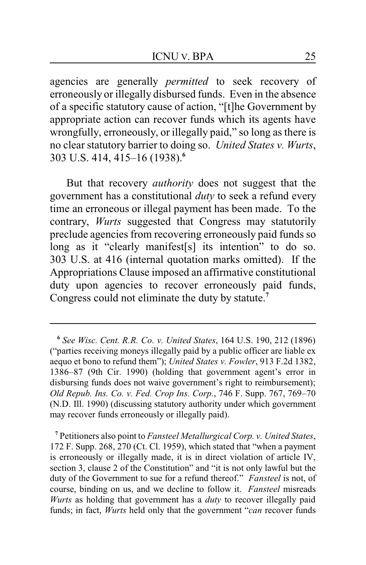agencies are generally *permitted* to seek recovery of erroneously or illegally disbursed funds. Even in the absence of a specific statutory cause of action, "[t]he Government by appropriate action can recover funds which its agents have wrongfully, erroneously, or illegally paid," so long as there is no clear statutory barrier to doing so. *United States v. Wurts*, 303 U.S. 414, 415–16 (1938).**<sup>6</sup>**

But that recovery *authority* does not suggest that the government has a constitutional *duty* to seek a refund every time an erroneous or illegal payment has been made. To the contrary, *Wurts* suggested that Congress may statutorily preclude agencies from recovering erroneously paid funds so long as it "clearly manifest<sup>[s]</sup> its intention" to do so. 303 U.S. at 416 (internal quotation marks omitted). If the Appropriations Clause imposed an affirmative constitutional duty upon agencies to recover erroneously paid funds, Congress could not eliminate the duty by statute.**<sup>7</sup>**

**<sup>7</sup>** Petitioners also point to *Fansteel Metallurgical Corp. v. United States*, 172 F. Supp. 268, 270 (Ct. Cl. 1959), which stated that "when a payment is erroneously or illegally made, it is in direct violation of article IV, section 3, clause 2 of the Constitution" and "it is not only lawful but the duty of the Government to sue for a refund thereof." *Fansteel* is not, of course, binding on us, and we decline to follow it. *Fansteel* misreads *Wurts* as holding that government has a *duty* to recover illegally paid funds; in fact, *Wurts* held only that the government "*can* recover funds

**<sup>6</sup>** *See Wisc. Cent. R.R. Co. v. United States*, 164 U.S. 190, 212 (1896) ("parties receiving moneys illegally paid by a public officer are liable ex aequo et bono to refund them"); *United States v. Fowler*, 913 F.2d 1382, 1386–87 (9th Cir. 1990) (holding that government agent's error in disbursing funds does not waive government's right to reimbursement); *Old Repub. Ins. Co. v. Fed. Crop Ins. Corp.*, 746 F. Supp. 767, 769–70 (N.D. Ill. 1990) (discussing statutory authority under which government may recover funds erroneously or illegally paid).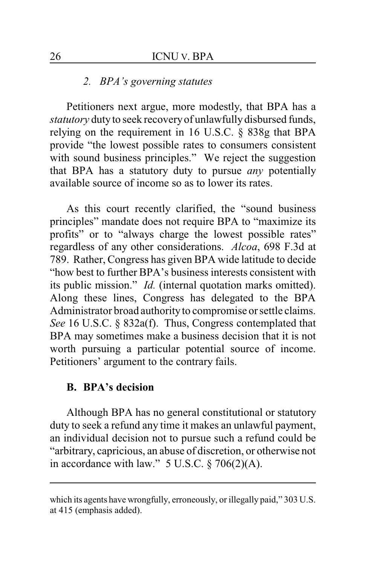### *2. BPA's governing statutes*

Petitioners next argue, more modestly, that BPA has a *statutory* duty to seek recovery of unlawfully disbursed funds, relying on the requirement in 16 U.S.C. § 838g that BPA provide "the lowest possible rates to consumers consistent with sound business principles." We reject the suggestion that BPA has a statutory duty to pursue *any* potentially available source of income so as to lower its rates.

As this court recently clarified, the "sound business principles" mandate does not require BPA to "maximize its profits" or to "always charge the lowest possible rates" regardless of any other considerations. *Alcoa*, 698 F.3d at 789. Rather, Congress has given BPA wide latitude to decide "how best to further BPA's business interests consistent with its public mission." *Id.* (internal quotation marks omitted). Along these lines, Congress has delegated to the BPA Administrator broad authority to compromise or settle claims. *See* 16 U.S.C. § 832a(f). Thus, Congress contemplated that BPA may sometimes make a business decision that it is not worth pursuing a particular potential source of income. Petitioners' argument to the contrary fails.

## **B. BPA's decision**

Although BPA has no general constitutional or statutory duty to seek a refund any time it makes an unlawful payment, an individual decision not to pursue such a refund could be "arbitrary, capricious, an abuse of discretion, or otherwise not in accordance with law."  $5$  U.S.C.  $\S$  706(2)(A).

which its agents have wrongfully, erroneously, or illegally paid," 303 U.S. at 415 (emphasis added).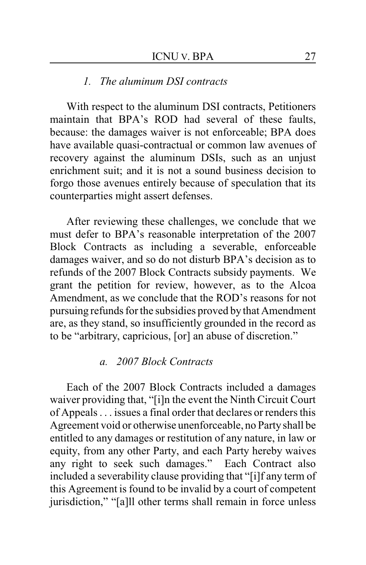#### *1. The aluminum DSI contracts*

With respect to the aluminum DSI contracts, Petitioners maintain that BPA's ROD had several of these faults, because: the damages waiver is not enforceable; BPA does have available quasi-contractual or common law avenues of recovery against the aluminum DSIs, such as an unjust enrichment suit; and it is not a sound business decision to forgo those avenues entirely because of speculation that its counterparties might assert defenses.

After reviewing these challenges, we conclude that we must defer to BPA's reasonable interpretation of the 2007 Block Contracts as including a severable, enforceable damages waiver, and so do not disturb BPA's decision as to refunds of the 2007 Block Contracts subsidy payments. We grant the petition for review, however, as to the Alcoa Amendment, as we conclude that the ROD's reasons for not pursuing refunds for the subsidies proved by that Amendment are, as they stand, so insufficiently grounded in the record as to be "arbitrary, capricious, [or] an abuse of discretion."

#### *a. 2007 Block Contracts*

Each of the 2007 Block Contracts included a damages waiver providing that, "[i]n the event the Ninth Circuit Court of Appeals . . . issues a final order that declares or renders this Agreement void or otherwise unenforceable, no Party shall be entitled to any damages or restitution of any nature, in law or equity, from any other Party, and each Party hereby waives any right to seek such damages." Each Contract also included a severability clause providing that "[i]f any term of this Agreement is found to be invalid by a court of competent jurisdiction," "[a]ll other terms shall remain in force unless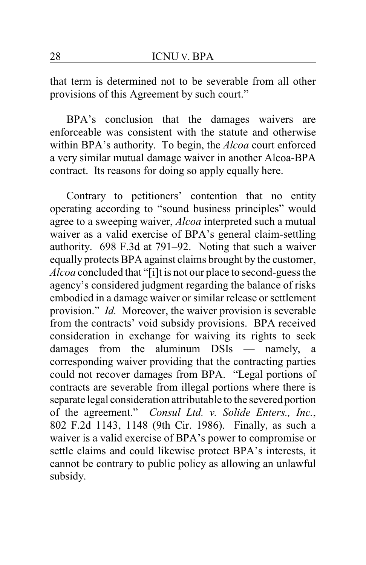that term is determined not to be severable from all other provisions of this Agreement by such court."

BPA's conclusion that the damages waivers are enforceable was consistent with the statute and otherwise within BPA's authority. To begin, the *Alcoa* court enforced a very similar mutual damage waiver in another Alcoa-BPA contract. Its reasons for doing so apply equally here.

Contrary to petitioners' contention that no entity operating according to "sound business principles" would agree to a sweeping waiver, *Alcoa* interpreted such a mutual waiver as a valid exercise of BPA's general claim-settling authority. 698 F.3d at 791–92. Noting that such a waiver equally protects BPA against claims brought by the customer, *Alcoa* concluded that "[i]t is not our place to second-guess the agency's considered judgment regarding the balance of risks embodied in a damage waiver or similar release or settlement provision." *Id.* Moreover, the waiver provision is severable from the contracts' void subsidy provisions. BPA received consideration in exchange for waiving its rights to seek damages from the aluminum DSIs — namely, a damages from the aluminum DSIs — namely, a corresponding waiver providing that the contracting parties could not recover damages from BPA. "Legal portions of contracts are severable from illegal portions where there is separate legal consideration attributable to the severed portion of the agreement." *Consul Ltd. v. Solide Enters., Inc.*, 802 F.2d 1143, 1148 (9th Cir. 1986). Finally, as such a waiver is a valid exercise of BPA's power to compromise or settle claims and could likewise protect BPA's interests, it cannot be contrary to public policy as allowing an unlawful subsidy.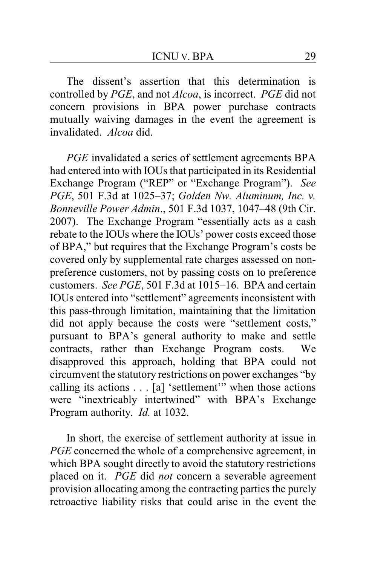The dissent's assertion that this determination is controlled by *PGE*, and not *Alcoa*, is incorrect. *PGE* did not concern provisions in BPA power purchase contracts mutually waiving damages in the event the agreement is invalidated. *Alcoa* did.

*PGE* invalidated a series of settlement agreements BPA had entered into with IOUs that participated in its Residential Exchange Program ("REP" or "Exchange Program"). *See PGE*, 501 F.3d at 1025–37; *Golden Nw. Aluminum, Inc. v. Bonneville Power Admin*., 501 F.3d 1037, 1047–48 (9th Cir. 2007). The Exchange Program "essentially acts as a cash rebate to the IOUs where the IOUs' power costs exceed those of BPA," but requires that the Exchange Program's costs be covered only by supplemental rate charges assessed on nonpreference customers, not by passing costs on to preference customers. *See PGE*, 501 F.3d at 1015–16. BPA and certain IOUs entered into "settlement" agreements inconsistent with this pass-through limitation, maintaining that the limitation did not apply because the costs were "settlement costs," pursuant to BPA's general authority to make and settle contracts, rather than Exchange Program costs. We disapproved this approach, holding that BPA could not circumvent the statutory restrictions on power exchanges "by calling its actions . . . [a] 'settlement'" when those actions were "inextricably intertwined" with BPA's Exchange Program authority. *Id.* at 1032.

In short, the exercise of settlement authority at issue in *PGE* concerned the whole of a comprehensive agreement, in which BPA sought directly to avoid the statutory restrictions placed on it. *PGE* did *not* concern a severable agreement provision allocating among the contracting parties the purely retroactive liability risks that could arise in the event the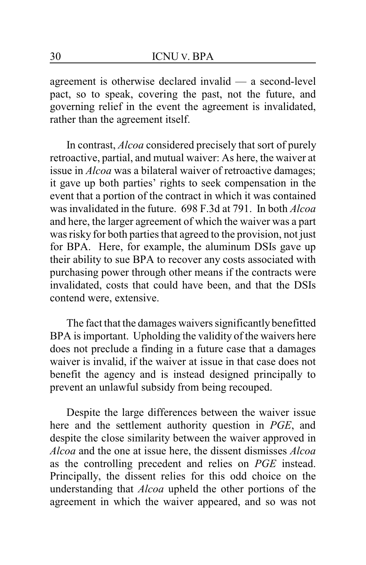agreement is otherwise declared invalid — a second-level pact, so to speak, covering the past, not the future, and governing relief in the event the agreement is invalidated, rather than the agreement itself.

In contrast, *Alcoa* considered precisely that sort of purely retroactive, partial, and mutual waiver: As here, the waiver at issue in *Alcoa* was a bilateral waiver of retroactive damages; it gave up both parties' rights to seek compensation in the event that a portion of the contract in which it was contained was invalidated in the future. 698 F.3d at 791. In both *Alcoa* and here, the larger agreement of which the waiver was a part was risky for both parties that agreed to the provision, not just for BPA. Here, for example, the aluminum DSIs gave up their ability to sue BPA to recover any costs associated with purchasing power through other means if the contracts were invalidated, costs that could have been, and that the DSIs contend were, extensive.

The fact that the damages waivers significantly benefitted BPA is important. Upholding the validity of the waivers here does not preclude a finding in a future case that a damages waiver is invalid, if the waiver at issue in that case does not benefit the agency and is instead designed principally to prevent an unlawful subsidy from being recouped.

Despite the large differences between the waiver issue here and the settlement authority question in *PGE*, and despite the close similarity between the waiver approved in *Alcoa* and the one at issue here, the dissent dismisses *Alcoa* as the controlling precedent and relies on *PGE* instead. Principally, the dissent relies for this odd choice on the understanding that *Alcoa* upheld the other portions of the agreement in which the waiver appeared, and so was not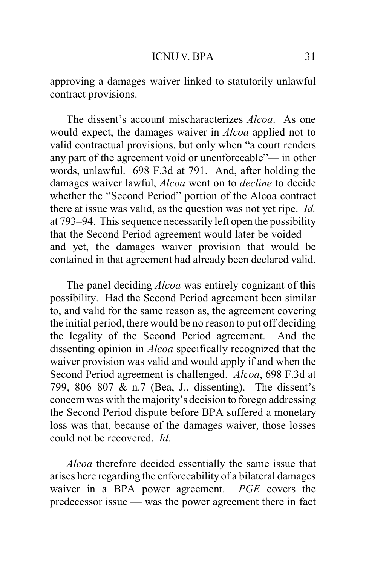approving a damages waiver linked to statutorily unlawful contract provisions.

The dissent's account mischaracterizes *Alcoa*. As one would expect, the damages waiver in *Alcoa* applied not to valid contractual provisions, but only when "a court renders any part of the agreement void or unenforceable"— in other words, unlawful. 698 F.3d at 791. And, after holding the damages waiver lawful, *Alcoa* went on to *decline* to decide whether the "Second Period" portion of the Alcoa contract there at issue was valid, as the question was not yet ripe. *Id.* at 793–94. This sequence necessarily left open the possibility that the Second Period agreement would later be voided and yet, the damages waiver provision that would be contained in that agreement had already been declared valid.

The panel deciding *Alcoa* was entirely cognizant of this possibility. Had the Second Period agreement been similar to, and valid for the same reason as, the agreement covering the initial period, there would be no reason to put off deciding the legality of the Second Period agreement. And the dissenting opinion in *Alcoa* specifically recognized that the waiver provision was valid and would apply if and when the Second Period agreement is challenged. *Alcoa*, 698 F.3d at 799, 806–807 & n.7 (Bea, J., dissenting). The dissent's concern was with the majority's decision to forego addressing the Second Period dispute before BPA suffered a monetary loss was that, because of the damages waiver, those losses could not be recovered. *Id.*

*Alcoa* therefore decided essentially the same issue that arises here regarding the enforceability of a bilateral damages waiver in a BPA power agreement. *PGE* covers the predecessor issue — was the power agreement there in fact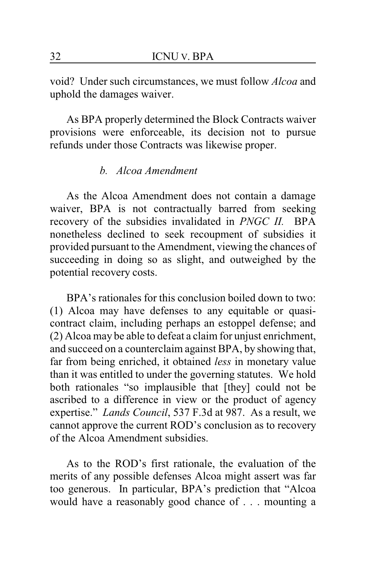void? Under such circumstances, we must follow *Alcoa* and uphold the damages waiver.

As BPA properly determined the Block Contracts waiver provisions were enforceable, its decision not to pursue refunds under those Contracts was likewise proper.

#### *b. Alcoa Amendment*

As the Alcoa Amendment does not contain a damage waiver, BPA is not contractually barred from seeking recovery of the subsidies invalidated in *PNGC II.* BPA nonetheless declined to seek recoupment of subsidies it provided pursuant to the Amendment, viewing the chances of succeeding in doing so as slight, and outweighed by the potential recovery costs.

BPA's rationales for this conclusion boiled down to two: (1) Alcoa may have defenses to any equitable or quasicontract claim, including perhaps an estoppel defense; and (2) Alcoa may be able to defeat a claim for unjust enrichment, and succeed on a counterclaim against BPA, by showing that, far from being enriched, it obtained *less* in monetary value than it was entitled to under the governing statutes. We hold both rationales "so implausible that [they] could not be ascribed to a difference in view or the product of agency expertise." *Lands Council*, 537 F.3d at 987. As a result, we cannot approve the current ROD's conclusion as to recovery of the Alcoa Amendment subsidies.

As to the ROD's first rationale, the evaluation of the merits of any possible defenses Alcoa might assert was far too generous. In particular, BPA's prediction that "Alcoa would have a reasonably good chance of . . . mounting a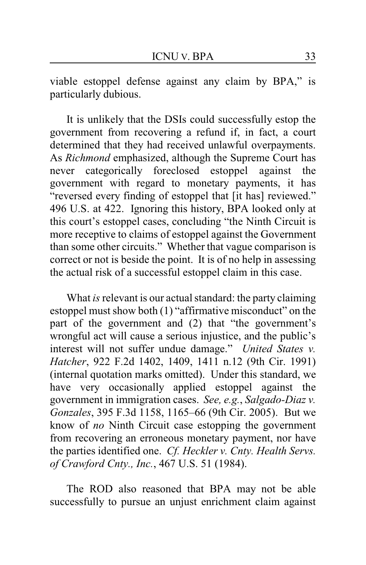viable estoppel defense against any claim by BPA," is particularly dubious.

It is unlikely that the DSIs could successfully estop the government from recovering a refund if, in fact, a court determined that they had received unlawful overpayments. As *Richmond* emphasized, although the Supreme Court has never categorically foreclosed estoppel against the government with regard to monetary payments, it has "reversed every finding of estoppel that [it has] reviewed." 496 U.S. at 422. Ignoring this history, BPA looked only at this court's estoppel cases, concluding "the Ninth Circuit is more receptive to claims of estoppel against the Government than some other circuits." Whether that vague comparison is correct or not is beside the point. It is of no help in assessing the actual risk of a successful estoppel claim in this case.

What *is* relevant is our actual standard: the party claiming estoppel must show both (1) "affirmative misconduct" on the part of the government and (2) that "the government's wrongful act will cause a serious injustice, and the public's interest will not suffer undue damage." *United States v. Hatcher*, 922 F.2d 1402, 1409, 1411 n.12 (9th Cir. 1991) (internal quotation marks omitted). Under this standard, we have very occasionally applied estoppel against the government in immigration cases. *See, e.g.*, *Salgado-Diaz v. Gonzales*, 395 F.3d 1158, 1165–66 (9th Cir. 2005). But we know of *no* Ninth Circuit case estopping the government from recovering an erroneous monetary payment, nor have the parties identified one. *Cf. Heckler v. Cnty. Health Servs. of Crawford Cnty., Inc.*, 467 U.S. 51 (1984).

The ROD also reasoned that BPA may not be able successfully to pursue an unjust enrichment claim against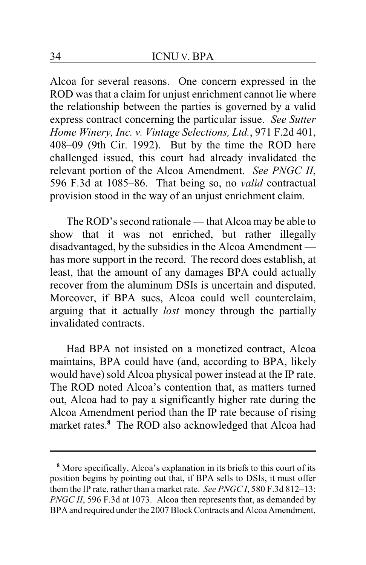Alcoa for several reasons. One concern expressed in the ROD was that a claim for unjust enrichment cannot lie where the relationship between the parties is governed by a valid express contract concerning the particular issue. *See Sutter Home Winery, Inc. v. Vintage Selections, Ltd.*, 971 F.2d 401, 408–09 (9th Cir. 1992). But by the time the ROD here challenged issued, this court had already invalidated the relevant portion of the Alcoa Amendment. *See PNGC II*, 596 F.3d at 1085–86. That being so, no *valid* contractual provision stood in the way of an unjust enrichment claim.

The ROD's second rationale — that Alcoa may be able to show that it was not enriched, but rather illegally disadvantaged, by the subsidies in the Alcoa Amendment has more support in the record. The record does establish, at least, that the amount of any damages BPA could actually recover from the aluminum DSIs is uncertain and disputed. Moreover, if BPA sues, Alcoa could well counterclaim, arguing that it actually *lost* money through the partially invalidated contracts.

Had BPA not insisted on a monetized contract, Alcoa maintains, BPA could have (and, according to BPA, likely would have) sold Alcoa physical power instead at the IP rate. The ROD noted Alcoa's contention that, as matters turned out, Alcoa had to pay a significantly higher rate during the Alcoa Amendment period than the IP rate because of rising market rates.**<sup>8</sup>** The ROD also acknowledged that Alcoa had

**<sup>8</sup>** More specifically, Alcoa's explanation in its briefs to this court of its position begins by pointing out that, if BPA sells to DSIs, it must offer them the IP rate, rather than a market rate. *See PNGC I*, 580 F.3d 812–13; *PNGC II*, 596 F.3d at 1073. Alcoa then represents that, as demanded by BPA and required under the 2007 Block Contracts and Alcoa Amendment,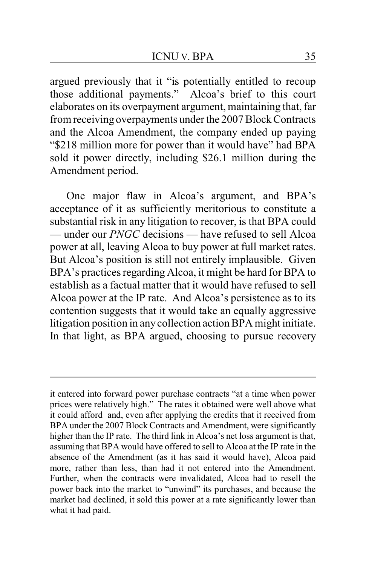argued previously that it "is potentially entitled to recoup those additional payments." Alcoa's brief to this court elaborates on its overpayment argument, maintaining that, far from receiving overpayments under the 2007 Block Contracts and the Alcoa Amendment, the company ended up paying "\$218 million more for power than it would have" had BPA sold it power directly, including \$26.1 million during the Amendment period.

One major flaw in Alcoa's argument, and BPA's acceptance of it as sufficiently meritorious to constitute a substantial risk in any litigation to recover, is that BPA could — under our *PNGC* decisions — have refused to sell Alcoa power at all, leaving Alcoa to buy power at full market rates. But Alcoa's position is still not entirely implausible. Given BPA's practices regarding Alcoa, it might be hard for BPA to establish as a factual matter that it would have refused to sell Alcoa power at the IP rate. And Alcoa's persistence as to its contention suggests that it would take an equally aggressive litigation position in anycollection action BPA might initiate. In that light, as BPA argued, choosing to pursue recovery

it entered into forward power purchase contracts "at a time when power prices were relatively high." The rates it obtained were well above what it could afford and, even after applying the credits that it received from BPA under the 2007 Block Contracts and Amendment, were significantly higher than the IP rate. The third link in Alcoa's net loss argument is that, assuming that BPA would have offered to sell to Alcoa at the IP rate in the absence of the Amendment (as it has said it would have), Alcoa paid more, rather than less, than had it not entered into the Amendment. Further, when the contracts were invalidated, Alcoa had to resell the power back into the market to "unwind" its purchases, and because the market had declined, it sold this power at a rate significantly lower than what it had paid.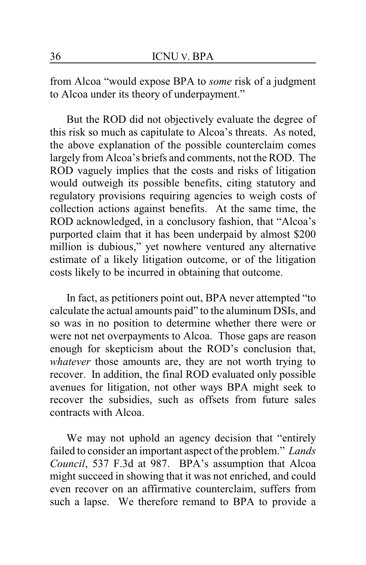from Alcoa "would expose BPA to *some* risk of a judgment to Alcoa under its theory of underpayment."

But the ROD did not objectively evaluate the degree of this risk so much as capitulate to Alcoa's threats. As noted, the above explanation of the possible counterclaim comes largely from Alcoa's briefs and comments, not the ROD. The ROD vaguely implies that the costs and risks of litigation would outweigh its possible benefits, citing statutory and regulatory provisions requiring agencies to weigh costs of collection actions against benefits. At the same time, the ROD acknowledged, in a conclusory fashion, that "Alcoa's purported claim that it has been underpaid by almost \$200 million is dubious," yet nowhere ventured any alternative estimate of a likely litigation outcome, or of the litigation costs likely to be incurred in obtaining that outcome.

In fact, as petitioners point out, BPA never attempted "to calculate the actual amounts paid" to the aluminum DSIs, and so was in no position to determine whether there were or were not net overpayments to Alcoa. Those gaps are reason enough for skepticism about the ROD's conclusion that, *whatever* those amounts are, they are not worth trying to recover. In addition, the final ROD evaluated only possible avenues for litigation, not other ways BPA might seek to recover the subsidies, such as offsets from future sales contracts with Alcoa.

We may not uphold an agency decision that "entirely failed to consider an important aspect of the problem." *Lands Council*, 537 F.3d at 987. BPA's assumption that Alcoa might succeed in showing that it was not enriched, and could even recover on an affirmative counterclaim, suffers from such a lapse. We therefore remand to BPA to provide a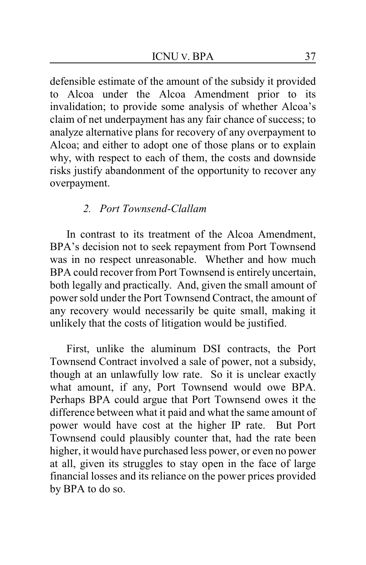defensible estimate of the amount of the subsidy it provided to Alcoa under the Alcoa Amendment prior to its invalidation; to provide some analysis of whether Alcoa's claim of net underpayment has any fair chance of success; to analyze alternative plans for recovery of any overpayment to Alcoa; and either to adopt one of those plans or to explain why, with respect to each of them, the costs and downside risks justify abandonment of the opportunity to recover any overpayment.

## *2. Port Townsend-Clallam*

In contrast to its treatment of the Alcoa Amendment, BPA's decision not to seek repayment from Port Townsend was in no respect unreasonable. Whether and how much BPA could recover from Port Townsend is entirely uncertain, both legally and practically. And, given the small amount of power sold under the Port Townsend Contract, the amount of any recovery would necessarily be quite small, making it unlikely that the costs of litigation would be justified.

First, unlike the aluminum DSI contracts, the Port Townsend Contract involved a sale of power, not a subsidy, though at an unlawfully low rate. So it is unclear exactly what amount, if any, Port Townsend would owe BPA. Perhaps BPA could argue that Port Townsend owes it the difference between what it paid and what the same amount of power would have cost at the higher IP rate. But Port Townsend could plausibly counter that, had the rate been higher, it would have purchased less power, or even no power at all, given its struggles to stay open in the face of large financial losses and its reliance on the power prices provided by BPA to do so.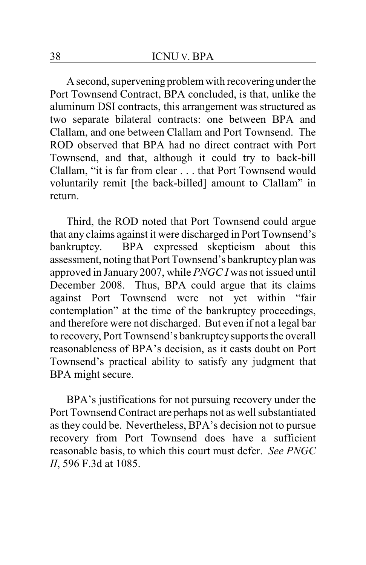A second, supervening problem with recoveringunder the Port Townsend Contract, BPA concluded, is that, unlike the aluminum DSI contracts, this arrangement was structured as two separate bilateral contracts: one between BPA and Clallam, and one between Clallam and Port Townsend. The ROD observed that BPA had no direct contract with Port Townsend, and that, although it could try to back-bill Clallam, "it is far from clear . . . that Port Townsend would voluntarily remit [the back-billed] amount to Clallam" in return.

Third, the ROD noted that Port Townsend could argue that any claims against it were discharged in Port Townsend's bankruptcy. BPA expressed skepticism about this assessment, noting that Port Townsend's bankruptcyplanwas approved in January 2007, while *PNGC I* was not issued until December 2008. Thus, BPA could argue that its claims against Port Townsend were not yet within "fair contemplation" at the time of the bankruptcy proceedings, and therefore were not discharged. But even if not a legal bar to recovery, Port Townsend's bankruptcysupports the overall reasonableness of BPA's decision, as it casts doubt on Port Townsend's practical ability to satisfy any judgment that BPA might secure.

BPA's justifications for not pursuing recovery under the Port Townsend Contract are perhaps not as well substantiated as they could be. Nevertheless, BPA's decision not to pursue recovery from Port Townsend does have a sufficient reasonable basis, to which this court must defer. *See PNGC II*, 596 F.3d at 1085.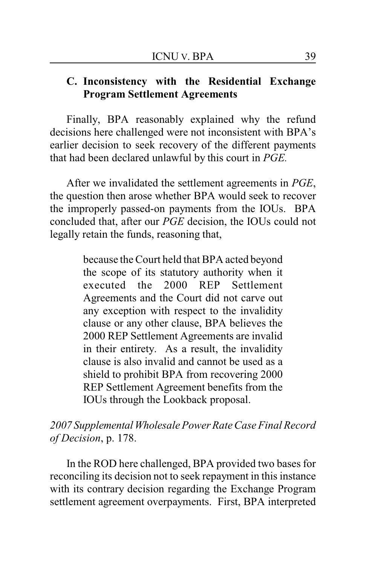## **C. Inconsistency with the Residential Exchange Program Settlement Agreements**

Finally, BPA reasonably explained why the refund decisions here challenged were not inconsistent with BPA's earlier decision to seek recovery of the different payments that had been declared unlawful by this court in *PGE.*

After we invalidated the settlement agreements in *PGE*, the question then arose whether BPA would seek to recover the improperly passed-on payments from the IOUs. BPA concluded that, after our *PGE* decision, the IOUs could not legally retain the funds, reasoning that,

> because the Court held that BPA acted beyond the scope of its statutory authority when it executed the 2000 REP Settlement Agreements and the Court did not carve out any exception with respect to the invalidity clause or any other clause, BPA believes the 2000 REP Settlement Agreements are invalid in their entirety. As a result, the invalidity clause is also invalid and cannot be used as a shield to prohibit BPA from recovering 2000 REP Settlement Agreement benefits from the IOUs through the Lookback proposal.

*2007 SupplementalWholesale Power Rate Case Final Record of Decision*, p. 178.

In the ROD here challenged, BPA provided two bases for reconciling its decision not to seek repayment in this instance with its contrary decision regarding the Exchange Program settlement agreement overpayments. First, BPA interpreted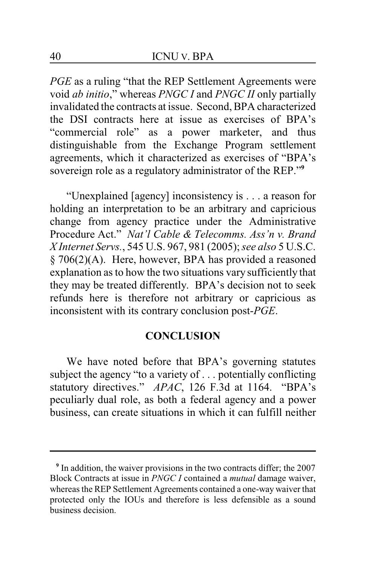*PGE* as a ruling "that the REP Settlement Agreements were void *ab initio*," whereas *PNGC I* and *PNGC II* only partially invalidated the contracts at issue. Second, BPA characterized the DSI contracts here at issue as exercises of BPA's "commercial role" as a power marketer, and thus distinguishable from the Exchange Program settlement agreements, which it characterized as exercises of "BPA's sovereign role as a regulatory administrator of the REP."**<sup>9</sup>**

"Unexplained [agency] inconsistency is . . . a reason for holding an interpretation to be an arbitrary and capricious change from agency practice under the Administrative Procedure Act." *Nat'l Cable & Telecomms. Ass'n v. Brand X Internet Servs.*, 545 U.S. 967, 981 (2005); *see also* 5 U.S.C. § 706(2)(A). Here, however, BPA has provided a reasoned explanation as to how the two situations vary sufficiently that they may be treated differently. BPA's decision not to seek refunds here is therefore not arbitrary or capricious as inconsistent with its contrary conclusion post-*PGE*.

### **CONCLUSION**

We have noted before that BPA's governing statutes subject the agency "to a variety of . . . potentially conflicting statutory directives." *APAC*, 126 F.3d at 1164. "BPA's peculiarly dual role, as both a federal agency and a power business, can create situations in which it can fulfill neither

**<sup>9</sup>** In addition, the waiver provisions in the two contracts differ; the 2007 Block Contracts at issue in *PNGC I* contained a *mutual* damage waiver, whereas the REP Settlement Agreements contained a one-way waiver that protected only the IOUs and therefore is less defensible as a sound business decision.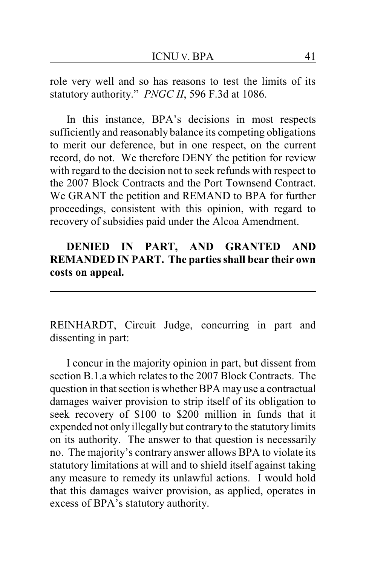role very well and so has reasons to test the limits of its statutory authority." *PNGC II*, 596 F.3d at 1086.

In this instance, BPA's decisions in most respects sufficiently and reasonably balance its competing obligations to merit our deference, but in one respect, on the current record, do not. We therefore DENY the petition for review with regard to the decision not to seek refunds with respect to the 2007 Block Contracts and the Port Townsend Contract. We GRANT the petition and REMAND to BPA for further proceedings, consistent with this opinion, with regard to recovery of subsidies paid under the Alcoa Amendment.

## **DENIED IN PART, AND GRANTED AND REMANDED IN PART. The parties shall bear their own costs on appeal.**

REINHARDT, Circuit Judge, concurring in part and dissenting in part:

I concur in the majority opinion in part, but dissent from section B.1.a which relates to the 2007 Block Contracts. The question in that section is whether BPA may use a contractual damages waiver provision to strip itself of its obligation to seek recovery of \$100 to \$200 million in funds that it expended not only illegally but contrary to the statutory limits on its authority. The answer to that question is necessarily no. The majority's contrary answer allows BPA to violate its statutory limitations at will and to shield itself against taking any measure to remedy its unlawful actions. I would hold that this damages waiver provision, as applied, operates in excess of BPA's statutory authority.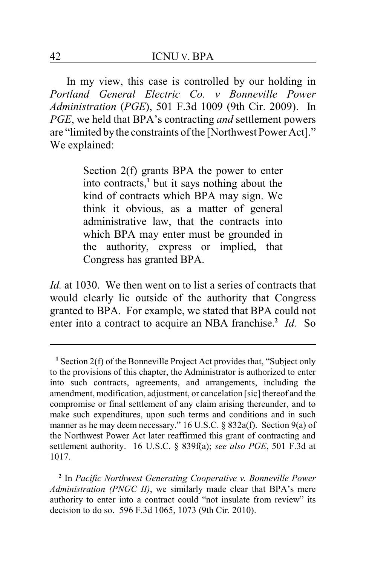In my view, this case is controlled by our holding in *Portland General Electric Co. v Bonneville Power Administration* (*PGE*), 501 F.3d 1009 (9th Cir. 2009). In *PGE*, we held that BPA's contracting *and* settlement powers are "limited bythe constraints of the [Northwest Power Act]." We explained:

> Section 2(f) grants BPA the power to enter into contracts,**<sup>1</sup>** but it says nothing about the kind of contracts which BPA may sign. We think it obvious, as a matter of general administrative law, that the contracts into which BPA may enter must be grounded in the authority, express or implied, that Congress has granted BPA.

*Id.* at 1030. We then went on to list a series of contracts that would clearly lie outside of the authority that Congress granted to BPA. For example, we stated that BPA could not enter into a contract to acquire an NBA franchise.<sup>2</sup> Id. So

**<sup>1</sup>** Section 2(f) of the Bonneville Project Act provides that, "Subject only to the provisions of this chapter, the Administrator is authorized to enter into such contracts, agreements, and arrangements, including the amendment, modification, adjustment, or cancelation [sic] thereof and the compromise or final settlement of any claim arising thereunder, and to make such expenditures, upon such terms and conditions and in such manner as he may deem necessary." 16 U.S.C. § 832a(f). Section 9(a) of the Northwest Power Act later reaffirmed this grant of contracting and settlement authority. 16 U.S.C. § 839f(a); *see also PGE*, 501 F.3d at 1017.

**<sup>2</sup>** In *Pacific Northwest Generating Cooperative v. Bonneville Power Administration (PNGC II)*, we similarly made clear that BPA's mere authority to enter into a contract could "not insulate from review" its decision to do so. 596 F.3d 1065, 1073 (9th Cir. 2010).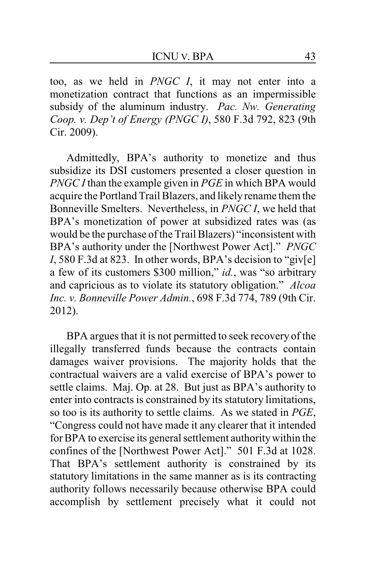too, as we held in *PNGC I*, it may not enter into a monetization contract that functions as an impermissible subsidy of the aluminum industry. *Pac. Nw. Generating Coop. v. Dep't of Energy (PNGC I)*, 580 F.3d 792, 823 (9th Cir. 2009).

Admittedly, BPA's authority to monetize and thus subsidize its DSI customers presented a closer question in *PNGC I* than the example given in *PGE* in which BPA would acquire the Portland Trail Blazers, and likely rename them the Bonneville Smelters. Nevertheless, in *PNGC I*, we held that BPA's monetization of power at subsidized rates was (as would be the purchase of the Trail Blazers) "inconsistent with BPA's authority under the [Northwest Power Act]." *PNGC I*, 580 F.3d at 823. In other words, BPA's decision to "giv[e] a few of its customers \$300 million," *id.*, was "so arbitrary and capricious as to violate its statutory obligation." *Alcoa Inc. v. Bonneville Power Admin.*, 698 F.3d 774, 789 (9th Cir. 2012).

BPA argues that it is not permitted to seek recovery of the illegally transferred funds because the contracts contain damages waiver provisions. The majority holds that the contractual waivers are a valid exercise of BPA's power to settle claims. Maj. Op. at 28. But just as BPA's authority to enter into contracts is constrained by its statutory limitations, so too is its authority to settle claims. As we stated in *PGE*, "Congress could not have made it any clearer that it intended for BPA to exercise its general settlement authoritywithin the confines of the [Northwest Power Act]." 501 F.3d at 1028. That BPA's settlement authority is constrained by its statutory limitations in the same manner as is its contracting authority follows necessarily because otherwise BPA could accomplish by settlement precisely what it could not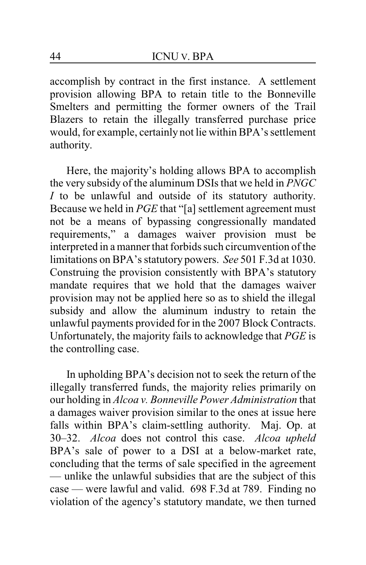accomplish by contract in the first instance. A settlement provision allowing BPA to retain title to the Bonneville Smelters and permitting the former owners of the Trail Blazers to retain the illegally transferred purchase price would, for example, certainly not lie within BPA's settlement authority.

Here, the majority's holding allows BPA to accomplish the very subsidy of the aluminum DSIs that we held in *PNGC I* to be unlawful and outside of its statutory authority. Because we held in *PGE* that "[a] settlement agreement must not be a means of bypassing congressionally mandated requirements," a damages waiver provision must be interpreted in a manner that forbids such circumvention of the limitations on BPA's statutory powers. *See* 501 F.3d at 1030. Construing the provision consistently with BPA's statutory mandate requires that we hold that the damages waiver provision may not be applied here so as to shield the illegal subsidy and allow the aluminum industry to retain the unlawful payments provided for in the 2007 Block Contracts. Unfortunately, the majority fails to acknowledge that *PGE* is the controlling case.

In upholding BPA's decision not to seek the return of the illegally transferred funds, the majority relies primarily on our holding in *Alcoa v. Bonneville Power Administration* that a damages waiver provision similar to the ones at issue here falls within BPA's claim-settling authority. Maj. Op. at 30–32. *Alcoa* does not control this case. *Alcoa upheld* BPA's sale of power to a DSI at a below-market rate, concluding that the terms of sale specified in the agreement — unlike the unlawful subsidies that are the subject of this case — were lawful and valid. 698 F.3d at 789. Finding no violation of the agency's statutory mandate, we then turned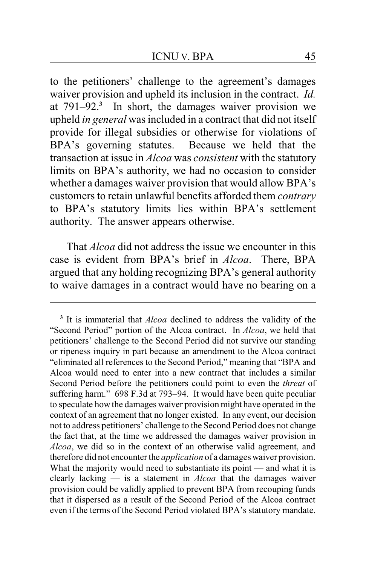to the petitioners' challenge to the agreement's damages waiver provision and upheld its inclusion in the contract. *Id.* at 791–92.**<sup>3</sup>** In short, the damages waiver provision we upheld *in general* was included in a contract that did not itself provide for illegal subsidies or otherwise for violations of BPA's governing statutes. Because we held that the transaction at issue in *Alcoa* was *consistent* with the statutory limits on BPA's authority, we had no occasion to consider whether a damages waiver provision that would allow BPA's customers to retain unlawful benefits afforded them *contrary* to BPA's statutory limits lies within BPA's settlement authority. The answer appears otherwise.

That *Alcoa* did not address the issue we encounter in this case is evident from BPA's brief in *Alcoa*. There, BPA argued that any holding recognizing BPA's general authority to waive damages in a contract would have no bearing on a

**<sup>3</sup>** It is immaterial that *Alcoa* declined to address the validity of the "Second Period" portion of the Alcoa contract. In *Alcoa*, we held that petitioners' challenge to the Second Period did not survive our standing or ripeness inquiry in part because an amendment to the Alcoa contract "eliminated all references to the Second Period," meaning that "BPA and Alcoa would need to enter into a new contract that includes a similar Second Period before the petitioners could point to even the *threat* of suffering harm." 698 F.3d at 793–94. It would have been quite peculiar to speculate howthe damages waiver provision might have operated in the context of an agreement that no longer existed. In any event, our decision not to address petitioners' challenge to the Second Period does not change the fact that, at the time we addressed the damages waiver provision in *Alcoa*, we did so in the context of an otherwise valid agreement, and therefore did not encounter the *application* of a damages waiver provision. What the majority would need to substantiate its point — and what it is clearly lacking — is a statement in *Alcoa* that the damages waiver provision could be validly applied to prevent BPA from recouping funds that it dispersed as a result of the Second Period of the Alcoa contract even if the terms of the Second Period violated BPA's statutory mandate.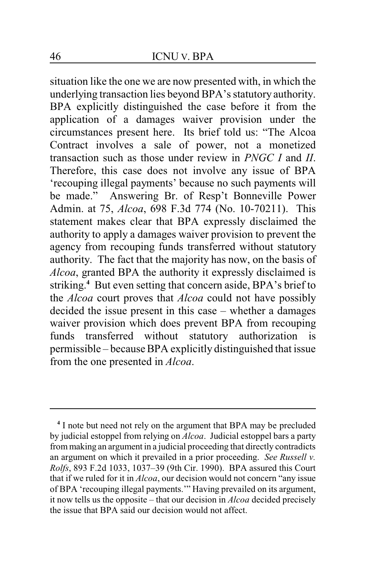situation like the one we are now presented with, in which the underlying transaction lies beyond BPA's statutory authority. BPA explicitly distinguished the case before it from the application of a damages waiver provision under the circumstances present here. Its brief told us: "The Alcoa Contract involves a sale of power, not a monetized transaction such as those under review in *PNGC I* and *II*. Therefore, this case does not involve any issue of BPA 'recouping illegal payments' because no such payments will be made." Answering Br. of Resp't Bonneville Power Admin. at 75, *Alcoa*, 698 F.3d 774 (No. 10-70211). This statement makes clear that BPA expressly disclaimed the authority to apply a damages waiver provision to prevent the agency from recouping funds transferred without statutory authority. The fact that the majority has now, on the basis of *Alcoa*, granted BPA the authority it expressly disclaimed is striking. **<sup>4</sup>** But even setting that concern aside, BPA's brief to the *Alcoa* court proves that *Alcoa* could not have possibly decided the issue present in this case – whether a damages waiver provision which does prevent BPA from recouping funds transferred without statutory authorization is permissible – because BPA explicitly distinguished that issue from the one presented in *Alcoa*.

**<sup>4</sup>** I note but need not rely on the argument that BPA may be precluded by judicial estoppel from relying on *Alcoa*. Judicial estoppel bars a party frommaking an argument in a judicial proceeding that directly contradicts an argument on which it prevailed in a prior proceeding. *See Russell v. Rolfs*, 893 F.2d 1033, 1037–39 (9th Cir. 1990). BPA assured this Court that if we ruled for it in *Alcoa*, our decision would not concern "any issue of BPA 'recouping illegal payments.'" Having prevailed on its argument, it now tells us the opposite – that our decision in *Alcoa* decided precisely the issue that BPA said our decision would not affect.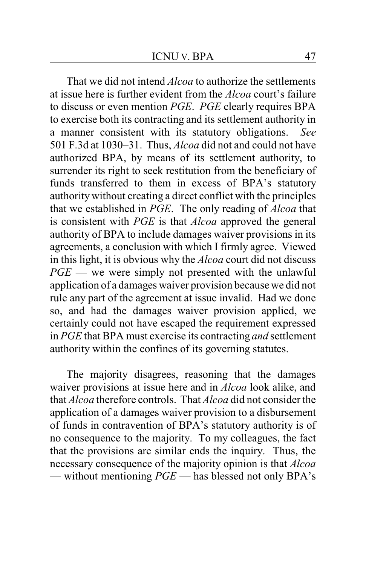That we did not intend *Alcoa* to authorize the settlements at issue here is further evident from the *Alcoa* court's failure to discuss or even mention *PGE*. *PGE* clearly requires BPA to exercise both its contracting and its settlement authority in a manner consistent with its statutory obligations. *See* 501 F.3d at 1030–31. Thus, *Alcoa* did not and could not have authorized BPA, by means of its settlement authority, to surrender its right to seek restitution from the beneficiary of funds transferred to them in excess of BPA's statutory authority without creating a direct conflict with the principles that we established in *PGE*. The only reading of *Alcoa* that is consistent with *PGE* is that *Alcoa* approved the general authority of BPA to include damages waiver provisions in its agreements, a conclusion with which I firmly agree. Viewed in this light, it is obvious why the *Alcoa* court did not discuss *PGE* — we were simply not presented with the unlawful application of a damages waiver provision because we did not rule any part of the agreement at issue invalid. Had we done so, and had the damages waiver provision applied, we certainly could not have escaped the requirement expressed in *PGE* that BPA must exercise its contracting *and* settlement authority within the confines of its governing statutes.

The majority disagrees, reasoning that the damages waiver provisions at issue here and in *Alcoa* look alike, and that *Alcoa* therefore controls. That *Alcoa* did not consider the application of a damages waiver provision to a disbursement of funds in contravention of BPA's statutory authority is of no consequence to the majority. To my colleagues, the fact that the provisions are similar ends the inquiry. Thus, the necessary consequence of the majority opinion is that *Alcoa* — without mentioning *PGE* — has blessed not only BPA's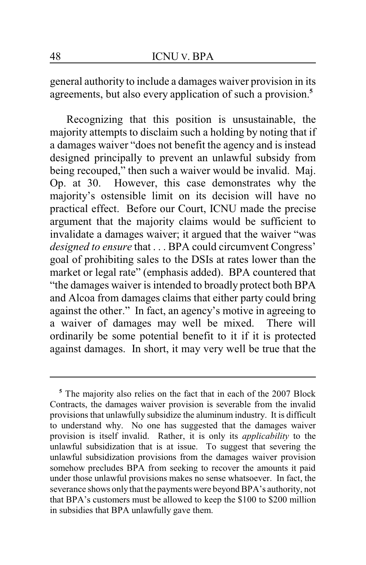general authority to include a damages waiver provision in its agreements, but also every application of such a provision.**<sup>5</sup>**

Recognizing that this position is unsustainable, the majority attempts to disclaim such a holding by noting that if a damages waiver "does not benefit the agency and is instead designed principally to prevent an unlawful subsidy from being recouped," then such a waiver would be invalid. Maj. Op. at 30. However, this case demonstrates why the majority's ostensible limit on its decision will have no practical effect. Before our Court, ICNU made the precise argument that the majority claims would be sufficient to invalidate a damages waiver; it argued that the waiver "was *designed to ensure* that . . . BPA could circumvent Congress' goal of prohibiting sales to the DSIs at rates lower than the market or legal rate" (emphasis added). BPA countered that "the damages waiver is intended to broadly protect both BPA and Alcoa from damages claims that either party could bring against the other." In fact, an agency's motive in agreeing to a waiver of damages may well be mixed. There will ordinarily be some potential benefit to it if it is protected against damages. In short, it may very well be true that the

**<sup>5</sup>** The majority also relies on the fact that in each of the 2007 Block Contracts, the damages waiver provision is severable from the invalid provisions that unlawfully subsidize the aluminum industry. It is difficult to understand why. No one has suggested that the damages waiver provision is itself invalid. Rather, it is only its *applicability* to the unlawful subsidization that is at issue. To suggest that severing the unlawful subsidization provisions from the damages waiver provision somehow precludes BPA from seeking to recover the amounts it paid under those unlawful provisions makes no sense whatsoever. In fact, the severance shows only that the payments were beyond BPA's authority, not that BPA's customers must be allowed to keep the \$100 to \$200 million in subsidies that BPA unlawfully gave them.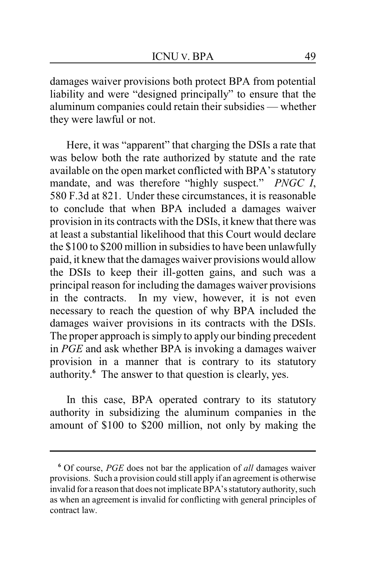damages waiver provisions both protect BPA from potential liability and were "designed principally" to ensure that the aluminum companies could retain their subsidies — whether they were lawful or not.

Here, it was "apparent" that charging the DSIs a rate that was below both the rate authorized by statute and the rate available on the open market conflicted with BPA's statutory mandate, and was therefore "highly suspect." *PNGC I*, 580 F.3d at 821. Under these circumstances, it is reasonable to conclude that when BPA included a damages waiver provision in its contracts with the DSIs, it knew that there was at least a substantial likelihood that this Court would declare the \$100 to \$200 million in subsidies to have been unlawfully paid, it knew that the damages waiver provisions would allow the DSIs to keep their ill-gotten gains, and such was a principal reason for including the damages waiver provisions in the contracts. In my view, however, it is not even necessary to reach the question of why BPA included the damages waiver provisions in its contracts with the DSIs. The proper approach is simply to apply our binding precedent in *PGE* and ask whether BPA is invoking a damages waiver provision in a manner that is contrary to its statutory authority.<sup>6</sup> The answer to that question is clearly, yes.

In this case, BPA operated contrary to its statutory authority in subsidizing the aluminum companies in the amount of \$100 to \$200 million, not only by making the

**<sup>6</sup>** Of course, *PGE* does not bar the application of *all* damages waiver provisions. Such a provision could still apply if an agreement is otherwise invalid for a reason that does not implicate BPA's statutory authority, such as when an agreement is invalid for conflicting with general principles of contract law.